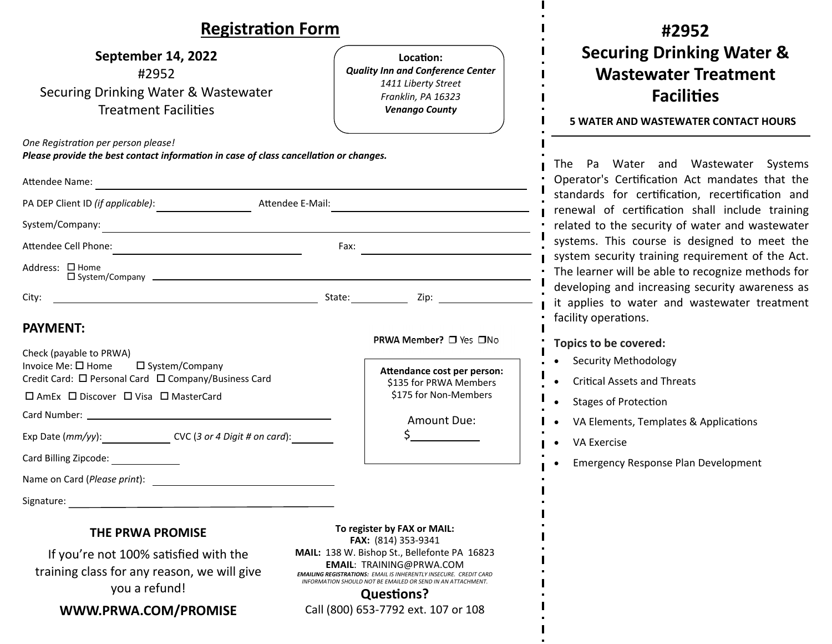## $\blacksquare$

| <b>Registration Form</b>                                                                                                                       |                                                                                                                                                                                                                                                 |                                                                                                                             | #2952                                                                                                                                                    |  |
|------------------------------------------------------------------------------------------------------------------------------------------------|-------------------------------------------------------------------------------------------------------------------------------------------------------------------------------------------------------------------------------------------------|-----------------------------------------------------------------------------------------------------------------------------|----------------------------------------------------------------------------------------------------------------------------------------------------------|--|
| September 14, 2022<br>#2952<br>Securing Drinking Water & Wastewater<br><b>Treatment Facilities</b>                                             |                                                                                                                                                                                                                                                 | Location:<br><b>Quality Inn and Conference Center</b><br>1411 Liberty Street<br>Franklin, PA 16323<br><b>Venango County</b> | <b>Securing Drinking Water &amp;</b><br><b>Wastewater Treatment</b><br><b>Facilities</b><br><b>5 WATER AND WASTEWATER CONTACT HOURS</b>                  |  |
| One Registration per person please!<br>Please provide the best contact information in case of class cancellation or changes.<br>Attendee Name: |                                                                                                                                                                                                                                                 |                                                                                                                             | The Pa Water and Wastewater Systems<br>Operator's Certification Act mandates that the                                                                    |  |
| PA DEP Client ID (if applicable): Attendee E-Mail:                                                                                             |                                                                                                                                                                                                                                                 |                                                                                                                             | standards for certification, recertification and<br>renewal of certification shall include training                                                      |  |
| System/Company:<br><u> 1989 - Johann Stein, marwolaethau a bhann an t-Amhainn an t-Amhainn an t-Amhainn an t-Amhainn an t-Amhainn a</u>        |                                                                                                                                                                                                                                                 |                                                                                                                             | related to the security of water and wastewater                                                                                                          |  |
|                                                                                                                                                |                                                                                                                                                                                                                                                 |                                                                                                                             | systems. This course is designed to meet the                                                                                                             |  |
| Address: □ Home                                                                                                                                |                                                                                                                                                                                                                                                 |                                                                                                                             | system security training requirement of the Act.<br>The learner will be able to recognize methods for<br>developing and increasing security awareness as |  |
| City:                                                                                                                                          |                                                                                                                                                                                                                                                 |                                                                                                                             | it applies to water and wastewater treatment                                                                                                             |  |
| <b>PAYMENT:</b>                                                                                                                                |                                                                                                                                                                                                                                                 | PRWA Member? □ Yes □No                                                                                                      | facility operations.<br>Topics to be covered:                                                                                                            |  |
| Check (payable to PRWA)<br>Invoice Me: □ Home<br>$\Box$ System/Company<br>Credit Card: □ Personal Card □ Company/Business Card                 |                                                                                                                                                                                                                                                 | Attendance cost per person:<br>\$135 for PRWA Members                                                                       | <b>Security Methodology</b><br><b>Critical Assets and Threats</b>                                                                                        |  |
| □ AmEx □ Discover □ Visa □ MasterCard                                                                                                          |                                                                                                                                                                                                                                                 | \$175 for Non-Members                                                                                                       | <b>Stages of Protection</b>                                                                                                                              |  |
|                                                                                                                                                |                                                                                                                                                                                                                                                 | Amount Due:                                                                                                                 | VA Elements, Templates & Applications                                                                                                                    |  |
| Exp Date (mm/yy): CVC (3 or 4 Digit # on card):                                                                                                |                                                                                                                                                                                                                                                 |                                                                                                                             | <b>VA Exercise</b>                                                                                                                                       |  |
| Card Billing Zipcode:                                                                                                                          |                                                                                                                                                                                                                                                 |                                                                                                                             | <b>Emergency Response Plan Development</b>                                                                                                               |  |
| Name on Card (Please print):                                                                                                                   |                                                                                                                                                                                                                                                 |                                                                                                                             |                                                                                                                                                          |  |
| Signature:                                                                                                                                     |                                                                                                                                                                                                                                                 |                                                                                                                             |                                                                                                                                                          |  |
| <b>THE PRWA PROMISE</b>                                                                                                                        | To register by FAX or MAIL:<br>FAX: (814) 353-9341                                                                                                                                                                                              |                                                                                                                             |                                                                                                                                                          |  |
| If you're not 100% satisfied with the<br>training class for any reason, we will give<br>you a refund!                                          | MAIL: 138 W. Bishop St., Bellefonte PA 16823<br><b>EMAIL: TRAINING@PRWA.COM</b><br><b>EMAILING REGISTRATIONS: EMAIL IS INHERENTLY INSECURE. CREDIT CARD</b><br>INFORMATION SHOULD NOT BE EMAILED OR SEND IN AN ATTACHMENT.<br><b>Questions?</b> |                                                                                                                             |                                                                                                                                                          |  |
| WWW.PRWA.COM/PROMISE                                                                                                                           |                                                                                                                                                                                                                                                 | Call (800) 653-7792 ext. 107 or 108                                                                                         |                                                                                                                                                          |  |

 $\mathbf{I}$ 

 $\blacksquare$  $\mathbf{I}$  $\blacksquare$